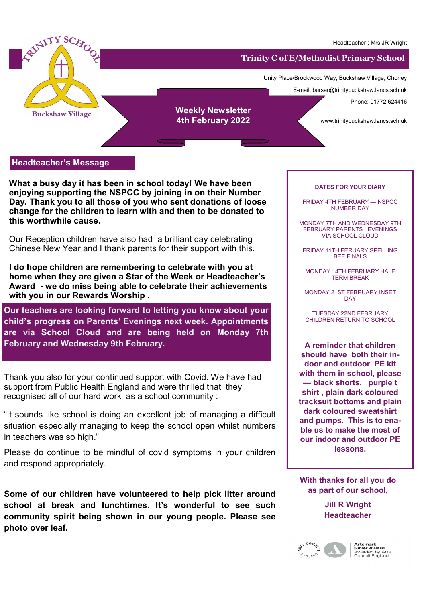

**Headteacher's Message**

**What a busy day it has been in school today! We have been enjoying supporting the NSPCC by joining in on their Number Day. Thank you to all those of you who sent donations of loose change for the children to learn with and then to be donated to this worthwhile cause.** 

Our Reception children have also had a brilliant day celebrating Chinese New Year and I thank parents for their support with this.

**I do hope children are remembering to celebrate with you at home when they are given a Star of the Week or Headteacher's Award - we do miss being able to celebrate their achievements with you in our Rewards Worship .**

**Our teachers are looking forward to letting you know about your child's progress on Parents' Evenings next week. Appointments are via School Cloud and are being held on Monday 7th February and Wednesday 9th February.** 

Thank you also for your continued support with Covid. We have had support from Public Health England and were thrilled that they recognised all of our hard work as a school community :

"It sounds like school is doing an excellent job of managing a difficult situation especially managing to keep the school open whilst numbers in teachers was so high."

Please do continue to be mindful of covid symptoms in your children and respond appropriately.

Some of our children have volunteered to help pick litter around school at break and lunchtimes. It's wonderful to see such community spirit being shown in our young people. Please see **photo over leaf.** 

## **DATES FOR YOUR DIARY**

FRIDAY 4TH FEBRUARY — NSPCC NUMBER DAY

MONDAY 7TH AND WEDNESDAY 9TH FEBRUARY PARENTS EVENINGS VIA SCHOOL CLOUD

FRIDAY 11TH FERUARY SPELLING BEE FINALS

MONDAY 14TH FEBRUARY HALF TERM BREAK

MONDAY 21ST FEBRUARY INSET **DAY** 

TUESDAY 22ND FEBRUARY CHILDREN RETURN TO SCHOOL

**A reminder that children should have both their indoor and outdoor PE kit with them in school, please — black shorts, purple t shirt , plain dark coloured tracksuit bottoms and plain dark coloured sweatshirt and pumps. This is to enable us to make the most of our indoor and outdoor PE lessons.** 

**With thanks for all you do as part of our school,**

> **Jill R Wright Headteacher**



**Artsmark<br>Silver Award**<br>Awarded by Arts<br>Council England